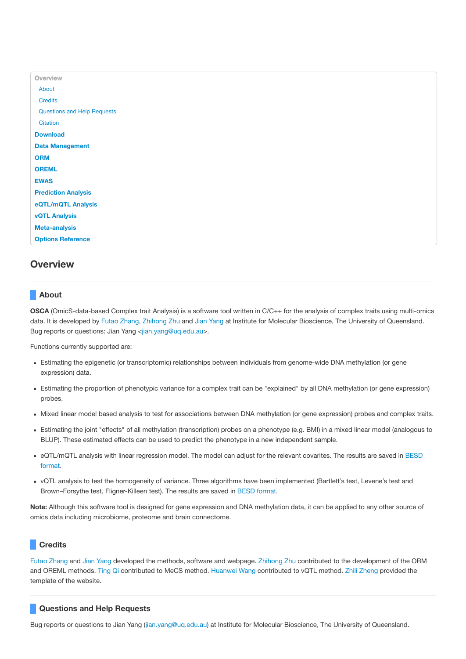| Overview                    |
|-----------------------------|
| About                       |
| <b>Credits</b>              |
| Questions and Help Requests |
| Citation                    |
| <b>Download</b>             |
| <b>Data Management</b>      |
| <b>ORM</b>                  |
| <b>OREML</b>                |
| <b>EWAS</b>                 |
| <b>Prediction Analysis</b>  |
| eQTL/mQTL Analysis          |
| <b>vQTL Analysis</b>        |
| <b>Meta-analysis</b>        |
| <b>Options Reference</b>    |
|                             |

# **Overview**

# **About**

**OSCA** (OmicS-data-based Complex trait Analysis) is a software tool written in C/C++ for the analysis of complex traits using multi-omics data. It is developed by Futao [Zhang](http://researchers.uq.edu.au/researcher/12709), [Zhihong](http://researchers.uq.edu.au/researcher/3051) Zhu and Jian [Yang](http://researchers.uq.edu.au/researcher/2713) at Institute for Molecular Bioscience, The University of Queensland. Bug reports or questions: Jian Yang <[jian.yang@uq.edu.au>](mailto:jian.yang@uq.edu.au).

Functions currently supported are:

- Estimating the epigenetic (or transcriptomic) relationships between individuals from genome-wide DNA methylation (or gene expression) data.
- Estimating the proportion of phenotypic variance for a complex trait can be "explained" by all DNA methylation (or gene expression) probes.
- Mixed linear model based analysis to test for associations between DNA methylation (or gene expression) probes and complex traits.
- Estimating the joint "effects" of all methylation (transcription) probes on a phenotype (e.g. BMI) in a mixed linear model (analogous to BLUP). These estimated effects can be used to predict the phenotype in a new independent sample.
- eQTL/mQTL analysis with linear regression model. The model can adjust for the relevant covarites. The results are saved in BESD format.
- vQTL analysis to test the homogeneity of variance. Three algorithms have been implemented (Bartlett's test, Levene's test and Brown–Forsythe test, Fligner-Killeen test). The results are saved in BESD format.

**Note:** Although this software tool is designed for gene expression and DNA methylation data, it can be applied to any other source of omics data including microbiome, proteome and brain connectome.

# **Credits**

Futao [Zhang](http://researchers.uq.edu.au/researcher/12709) and Jian [Yang](http://researchers.uq.edu.au/researcher/2713) developed the methods, software and webpage. [Zhihong](http://researchers.uq.edu.au/researcher/3051) Zhu contributed to the development of the ORM and OREML methods. [Ting](http://researchers.uq.edu.au/researcher/15871) Qi contributed to MeCS method. [Huanwei](mailto:huanwei.wang@imb.uq.edu.au) Wang contributed to vQTL method. Zhili [Zheng](mailto:zhili.zheng@imb.uq.edu.au) provided the template of the website.

# **Questions and Help Requests**

Bug reports or questions to Jian Yang ([jian.yang@uq.edu.au\)](mailto:jian.yang@uq.edu.au) at Institute for Molecular Bioscience, The University of Queensland.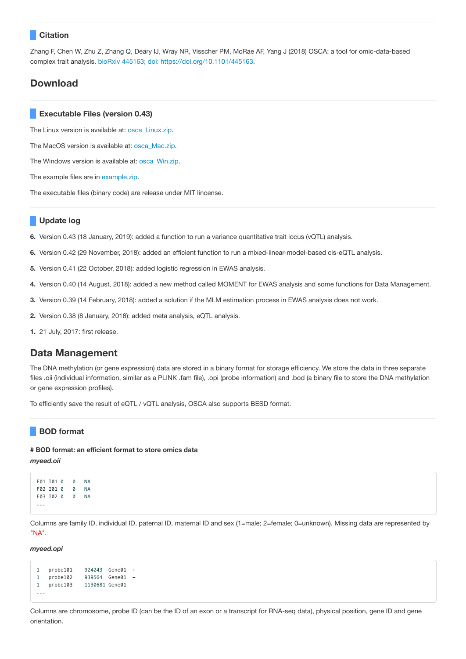# **Citation**

Zhang F, Chen W, Zhu Z, Zhang Q, Deary IJ, Wray NR, Visscher PM, McRae AF, Yang J (2018) OSCA: a tool for omic-data-based complex trait analysis. bioRxiv 445163; doi: [https://doi.org/10.1101/445163](https://www.biorxiv.org/content/early/2018/10/17/445163).

# **Download**

# **Executable Files (version 0.43)**

The Linux version is available at: [osca\\_Linux.zip.](file:///Users/futao.zhang/Desktop/20190113/osca_doc/build/download/osca_Linux.zip)

The MacOS version is available at: [osca\\_Mac.zip](file:///Users/futao.zhang/Desktop/20190113/osca_doc/build/download/osca_Mac.zip).

The Windows version is available at: [osca\\_Win.zip](file:///Users/futao.zhang/Desktop/20190113/osca_doc/build/download/osca_Win.zip).

The example files are in [example.zip.](file:///Users/futao.zhang/Desktop/20190113/osca_doc/build/download/example.zip)

The executable files (binary code) are release under MIT lincense.

# **Update log**

**6.** Version 0.43 (18 January, 2019): added a function to run a variance quantitative trait locus (vQTL) analysis.

**6.** Version 0.42 (29 November, 2018): added an efficient function to run a mixed-linear-model-based cis-eQTL analysis.

- **5.** Version 0.41 (22 October, 2018): added logistic regression in EWAS analysis.
- **4.** Version 0.40 (14 August, 2018): added a new method called MOMENT for EWAS analysis and some functions for Data Management.
- **3.** Version 0.39 (14 February, 2018): added a solution if the MLM estimation process in EWAS analysis does not work.
- **2.** Version 0.38 (8 January, 2018): added meta analysis, eQTL analysis.
- **1.** 21 July, 2017: first release.

# **Data Management**

The DNA methylation (or gene expression) data are stored in a binary format for storage efficiency. We store the data in three separate files .oii (individual information, similar as a PLINK .fam file), .opi (probe information) and .bod (a binary file to store the DNA methylation or gene expression profiles).

To efficiently save the result of eQTL / vQTL analysis, OSCA also supports BESD format.

# **BOD format**

### **# BOD format: an efficient format to store omics data**

*myeed.oii*

```
F01 I01 0 0 NA
F02 I01 0 0 NA
F03 I02 0 0 NA
...
```
Columns are family ID, individual ID, paternal ID, maternal ID and sex (1=male; 2=female; 0=unknown). Missing data are represented by "NA".

*myeed.opi*

```
1 probe101 924243 Gene01 +
1 probe102 939564 Gene01 -
1 probe103 1130681 Gene01 -
...
```
Columns are chromosome, probe ID (can be the ID of an exon or a transcript for RNA-seq data), physical position, gene ID and gene orientation.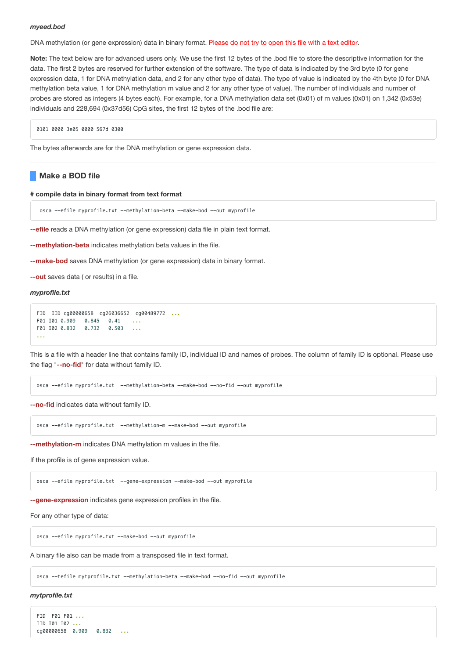### *myeed.bod*

DNA methylation (or gene expression) data in binary format. Please do not try to open this file with a text editor.

**Note:** The text below are for advanced users only. We use the first 12 bytes of the .bod file to store the descriptive information for the data. The first 2 bytes are reserved for further extension of the software. The type of data is indicated by the 3rd byte (0 for gene expression data, 1 for DNA methylation data, and 2 for any other type of data). The type of value is indicated by the 4th byte (0 for DNA methylation beta value, 1 for DNA methylation m value and 2 for any other type of value). The number of individuals and number of probes are stored as integers (4 bytes each). For example, for a DNA methylation data set (0x01) of m values (0x01) on 1,342 (0x53e) individuals and 228,694 (0x37d56) CpG sites, the first 12 bytes of the .bod file are:

0101 0000 3e05 0000 567d 0300

The bytes afterwards are for the DNA methylation or gene expression data.

# **Make a BOD file**

### **# compile data in binary format from text format**

osca --efile myprofile.txt --methylation-beta --make-bod --out myprofile

**--efile** reads a DNA methylation (or gene expression) data file in plain text format.

**--methylation-beta** indicates methylation beta values in the file.

**--make-bod** saves DNA methylation (or gene expression) data in binary format.

**--out** saves data ( or results) in a file.

## *myprofile.txt*

```
FID IID cg00000658 cg26036652 cg00489772 ...
F01 I01 0.909 0.845 0.41 ...
F01 I02 0.832 0.732 0.503 ...
...
```
This is a file with a header line that contains family ID, individual ID and names of probes. The column of family ID is optional. Please use the flag "**--no-fid**" for data without family ID.

osca --efile myprofile.txt --methylation-beta --make-bod --no-fid --out myprofile

**--no-fid** indicates data without family ID.

osca --efile myprofile.txt --methylation-m --make-bod --out myprofile

**--methylation-m** indicates DNA methylation m values in the file.

If the profile is of gene expression value.

osca --efile myprofile.txt --gene-expression --make-bod --out myprofile

**--gene-expression** indicates gene expression profiles in the file.

For any other type of data:

osca --efile myprofile.txt --make-bod --out myprofile

A binary file also can be made from a transposed file in text format.

osca --tefile mytprofile.txt --methylation-beta --make-bod --no-fid --out myprofile

## *mytprofile.txt*

```
FID F01 F01 ...
IID I01 I02 ...
cg00000658 0.909 0.832 ...
```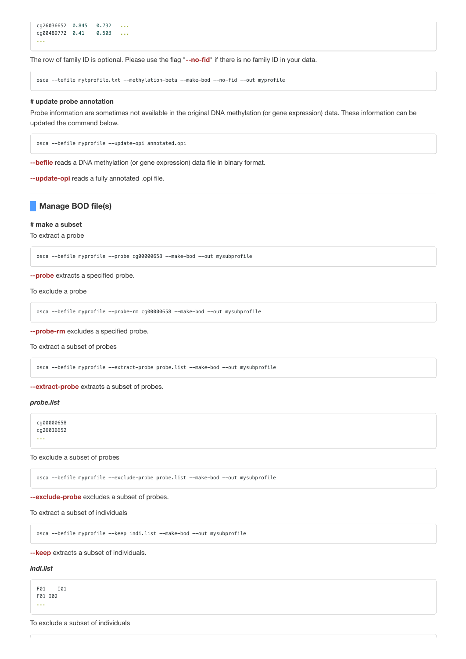```
cg26036652 0.845 0.732 ...
cg00489772 0.41 0.503 ...
...
```
The row of family ID is optional. Please use the flag "**--no-fid**" if there is no family ID in your data.

osca --tefile mytprofile.txt --methylation-beta --make-bod --no-fid --out myprofile

#### **# update probe annotation**

Probe information are sometimes not available in the original DNA methylation (or gene expression) data. These information can be updated the command below.

osca --befile myprofile --update-opi annotated.opi

**--befile** reads a DNA methylation (or gene expression) data file in binary format.

**--update-opi** reads a fully annotated .opi file.

# **Manage BOD file(s)**

## **# make a subset**

To extract a probe

osca --befile myprofile --probe cg00000658 --make-bod --out mysubprofile

## **--probe** extracts a specified probe.

To exclude a probe

```
osca --befile myprofile --probe-rm cg00000658 --make-bod --out mysubprofile
```
**--probe-rm** excludes a specified probe.

To extract a subset of probes

osca --befile myprofile --extract-probe probe.list --make-bod --out mysubprofile

## **--extract-probe** extracts a subset of probes.

# *probe.list*

cg00000658 cg26036652 ...

To exclude a subset of probes

osca --befile myprofile --exclude-probe probe.list --make-bod --out mysubprofile

**--exclude-probe** excludes a subset of probes.

To extract a subset of individuals

osca --befile myprofile --keep indi.list --make-bod --out mysubprofile

**--keep** extracts a subset of individuals.

## *indi.list*

F01 I01 F01 I02 ...

To exclude a subset of individuals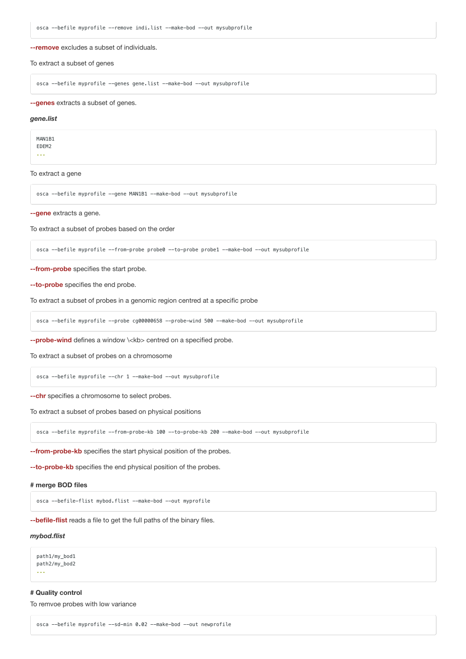**--remove** excludes a subset of individuals.

To extract a subset of genes

osca --befile myprofile --genes gene.list --make-bod --out mysubprofile

**--genes** extracts a subset of genes.

#### *gene.list*

MAN1B1 EDEM2

...

To extract a gene

osca --befile myprofile --gene MAN1B1 --make-bod --out mysubprofile

**--gene** extracts a gene.

To extract a subset of probes based on the order

osca --befile myprofile --from-probe probe0 --to-probe probe1 --make-bod --out mysubprofile

## **--from-probe** specifies the start probe.

**--to-probe** specifies the end probe.

To extract a subset of probes in a genomic region centred at a specific probe

osca --befile myprofile --probe cg00000658 --probe-wind 500 --make-bod --out mysubprofile

**--probe-wind** defines a window \<kb> centred on a specified probe.

To extract a subset of probes on a chromosome

osca --befile myprofile --chr 1 --make-bod --out mysubprofile

**--chr** specifies a chromosome to select probes.

To extract a subset of probes based on physical positions

osca --befile myprofile --from-probe-kb 100 --to-probe-kb 200 --make-bod --out mysubprofile

**--from-probe-kb** specifies the start physical position of the probes.

**--to-probe-kb** specifies the end physical position of the probes.

## **# merge BOD files**

osca --befile-flist mybod.flist --make-bod --out myprofile

**--befile-flist** reads a file to get the full paths of the binary files.

### *mybod.flist*

path1/my\_bod1 path2/my\_bod2 ...

## **# Quality control**

To remvoe probes with low variance

```
osca --befile myprofile --sd-min 0.02 --make-bod --out newprofile
```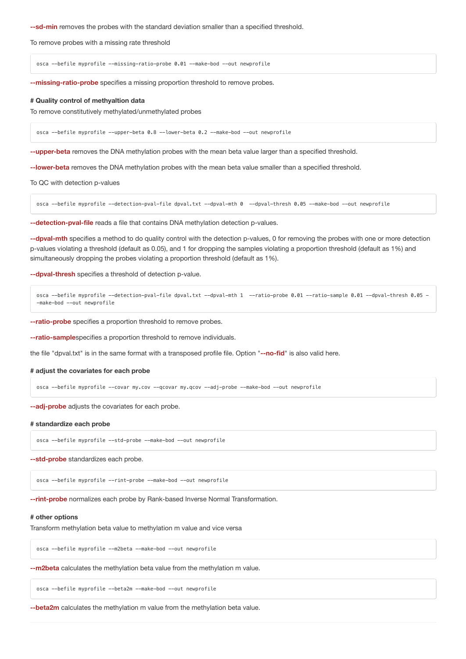**--sd-min** removes the probes with the standard deviation smaller than a specified threshold.

To remove probes with a missing rate threshold

osca --befile myprofile --missing-ratio-probe 0.01 --make-bod --out newprofile

**--missing-ratio-probe** specifies a missing proportion threshold to remove probes.

### **# Quality control of methyaltion data**

To remove constitutively methylated/unmethylated probes

osca --befile myprofile --upper-beta 0.8 --lower-beta 0.2 --make-bod --out newprofile

**--upper-beta** removes the DNA methylation probes with the mean beta value larger than a specified threshold.

**--lower-beta** removes the DNA methylation probes with the mean beta value smaller than a specified threshold.

To QC with detection p-values

osca --befile myprofile --detection-pval-file dpval.txt --dpval-mth 0 --dpval-thresh 0.05 --make-bod --out newprofile

**--detection-pval-file** reads a file that contains DNA methylation detection p-values.

**--dpval-mth** specifies a method to do quality control with the detection p-values, 0 for removing the probes with one or more detection p-values violating a threshold (default as 0.05), and 1 for dropping the samples violating a proportion threshold (default as 1%) and simultaneously dropping the probes violating a proportion threshold (default as 1%).

**--dpval-thresh** specifies a threshold of detection p-value.

osca --befile myprofile --detection-pval-file dpval.txt --dpval-mth 1 --ratio-probe 0.01 --ratio-sample 0.01 --dpval-thresh 0.05 - -make-bod --out newprofile

**--ratio-probe** specifies a proportion threshold to remove probes.

**--ratio-sample**specifies a proportion threshold to remove individuals.

the file "dpval.txt" is in the same format with a transposed profile file. Option "**--no-fid**" is also valid here.

#### **# adjust the covariates for each probe**

osca --befile myprofile --covar my.cov --qcovar my.qcov --adj-probe --make-bod --out newprofile

**--adj-probe** adjusts the covariates for each probe.

### **# standardize each probe**

osca --befile myprofile --std-probe --make-bod --out newprofile

**--std-probe** standardizes each probe.

osca --befile myprofile --rint-probe --make-bod --out newprofile

**--rint-probe** normalizes each probe by Rank-based Inverse Normal Transformation.

### **# other options**

Transform methylation beta value to methylation m value and vice versa

osca --befile myprofile --m2beta --make-bod --out newprofile

**--m2beta** calculates the methylation beta value from the methylation m value.

osca --befile myprofile --beta2m --make-bod --out newprofile

**--beta2m** calculates the methylation m value from the methylation beta value.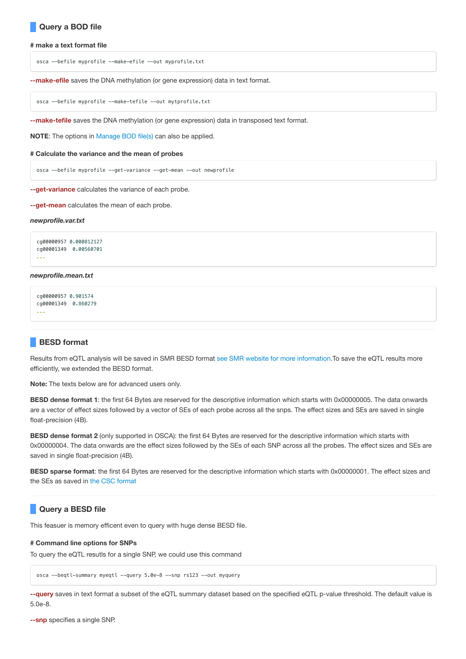# **Query a BOD file**

### **# make a text format file**

osca --befile myprofile --make-efile --out myprofile.txt

**--make-efile** saves the DNA methylation (or gene expression) data in text format.

osca --befile myprofile --make-tefile --out mytprofile.txt

**--make-tefile** saves the DNA methylation (or gene expression) data in transposed text format.

**NOTE**: The options in Manage BOD file(s) can also be applied.

#### **# Calculate the variance and the mean of probes**

osca --befile myprofile --get-variance --get-mean --out newprofile

**--get-variance** calculates the variance of each probe.

**--get-mean** calculates the mean of each probe.

#### *newprofile.var.txt*

```
cg00000957 0.000812127
cg00001349 0.00560701
...
```
# *newprofile.mean.txt*

```
cg00000957 0.901574
cg00001349 0.860279
...
```
# **BESD format**

Results from eQTL analysis will be saved in SMR BESD format see SMR website for more [information](http://cnsgenomics.com/software/smr/#BESDformat).To save the eQTL results more efficiently, we extended the BESD format.

**Note:** The texts below are for advanced users only.

**BESD dense format 1**: the first 64 Bytes are reserved for the descriptive information which starts with 0x00000005. The data onwards are a vector of effect sizes followed by a vector of SEs of each probe across all the snps. The effect sizes and SEs are saved in single float-precision (4B).

**BESD dense format 2** (only supported in OSCA): the first 64 Bytes are reserved for the descriptive information which starts with 0x00000004. The data onwards are the effect sizes followed by the SEs of each SNP across all the probes. The effect sizes and SEs are saved in single float-precision (4B).

**BESD sparse format**: the first 64 Bytes are reserved for the descriptive information which starts with 0x00000001. The effect sizes and the SEs as saved in the CSC [format](https://en.wikipedia.org/wiki/Sparse_matrix#Compressed_sparse_column_(CSC_or_CCS))

# **Query a BESD file**

This feasuer is memory efficent even to query with huge dense BESD file.

### **# Command line options for SNPs**

To query the eQTL resutls for a single SNP, we could use this command

osca --beqtl-summary myeqtl --query 5.0e-8 --snp rs123 --out myquery

**--query** saves in text format a subset of the eQTL summary dataset based on the specified eQTL p-value threshold. The default value is 5.0e-8.

**--snp** specifies a single SNP.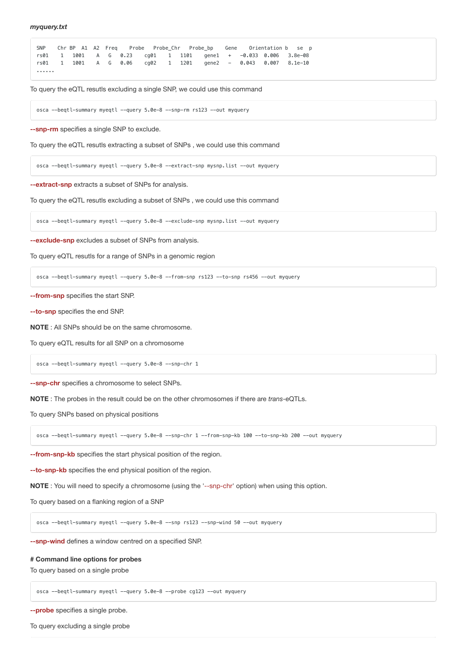|   |  |  |  |  |  |  | SNP Chr BP A1 A2 Freq Probe Probe Chr Probe bp Gene Orientation b se p     |
|---|--|--|--|--|--|--|----------------------------------------------------------------------------|
|   |  |  |  |  |  |  | rs01  1  1001  A  G  0.23  cq01  1  1101  qene1  +  -0.033  0.006  3.8e-08 |
|   |  |  |  |  |  |  | rs01  1  1001  A  G  0.06  cq02  1  1201  qene2  -  0.043  0.007  8.1e-10  |
| . |  |  |  |  |  |  |                                                                            |

To query the eQTL resutls excluding a single SNP, we could use this command

osca --beqtl-summary myeqtl --query 5.0e-8 --snp-rm rs123 --out myquery

**--snp-rm** specifies a single SNP to exclude.

To query the eQTL resutls extracting a subset of SNPs , we could use this command

osca --beqtl-summary myeqtl --query 5.0e-8 --extract-snp mysnp.list --out myquery

**--extract-snp** extracts a subset of SNPs for analysis.

To query the eQTL resutls excluding a subset of SNPs , we could use this command

osca --beqtl-summary myeqtl --query 5.0e-8 --exclude-snp mysnp.list --out myquery

**--exclude-snp** excludes a subset of SNPs from analysis.

To query eQTL resutls for a range of SNPs in a genomic region

osca --beqtl-summary myeqtl --query 5.0e-8 --from-snp rs123 --to-snp rs456 --out myquery

**--from-snp** specifies the start SNP.

**--to-snp** specifies the end SNP.

**NOTE** : All SNPs should be on the same chromosome.

To query eQTL results for all SNP on a chromosome

osca --beqtl-summary myeqtl --query 5.0e-8 --snp-chr 1

**--snp-chr** specifies a chromosome to select SNPs.

**NOTE** : The probes in the result could be on the other chromosomes if there are *trans*-eQTLs.

To query SNPs based on physical positions

osca --beqtl-summary myeqtl --query 5.0e-8 --snp-chr 1 --from-snp-kb 100 --to-snp-kb 200 --out myquery

**--from-snp-kb** specifies the start physical position of the region.

**--to-snp-kb** specifies the end physical position of the region.

**NOTE** : You will need to specify a chromosome (using the '--snp-chr' option) when using this option.

To query based on a flanking region of a SNP

osca --beqtl-summary myeqtl --query 5.0e-8 --snp rs123 --snp-wind 50 --out myquery

**--snp-wind** defines a window centred on a specified SNP.

### **# Command line options for probes**

To query based on a single probe

osca --beqtl-summary myeqtl --query 5.0e-8 --probe cg123 --out myquery

**--probe** specifies a single probe.

To query excluding a single probe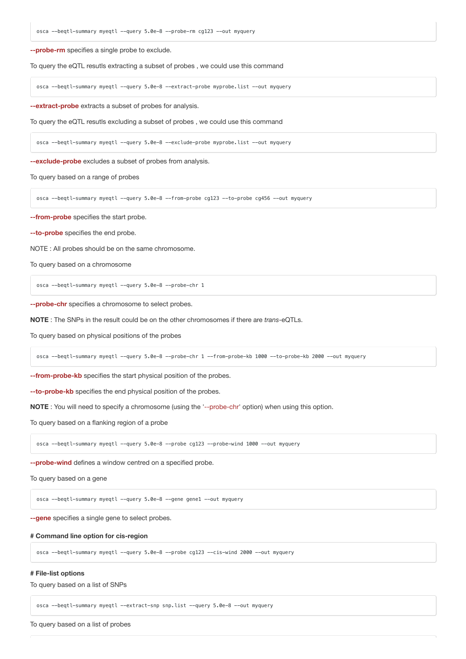**--probe-rm** specifies a single probe to exclude.

To query the eQTL resutls extracting a subset of probes , we could use this command

osca --beqtl-summary myeqtl --query 5.0e-8 --extract-probe myprobe.list --out myquery

**--extract-probe** extracts a subset of probes for analysis.

To query the eQTL resutls excluding a subset of probes , we could use this command

osca --beqtl-summary myeqtl --query 5.0e-8 --exclude-probe myprobe.list --out myquery

**--exclude-probe** excludes a subset of probes from analysis.

To query based on a range of probes

osca --beqtl-summary myeqtl --query 5.0e-8 --from-probe cg123 --to-probe cg456 --out myquery

**--from-probe** specifies the start probe.

**--to-probe** specifies the end probe.

NOTE : All probes should be on the same chromosome.

To query based on a chromosome

osca --beqtl-summary myeqtl --query 5.0e-8 --probe-chr 1

**--probe-chr** specifies a chromosome to select probes.

**NOTE** : The SNPs in the result could be on the other chromosomes if there are *trans*-eQTLs.

To query based on physical positions of the probes

osca --beqtl-summary myeqtl --query 5.0e-8 --probe-chr 1 --from-probe-kb 1000 --to-probe-kb 2000 --out myquery

**--from-probe-kb** specifies the start physical position of the probes.

**--to-probe-kb** specifies the end physical position of the probes.

**NOTE** : You will need to specify a chromosome (using the '--probe-chr' option) when using this option.

To query based on a flanking region of a probe

osca --beqtl-summary myeqtl --query 5.0e-8 --probe cg123 --probe-wind 1000 --out myquery

**--probe-wind** defines a window centred on a specified probe.

To query based on a gene

osca --beqtl-summary myeqtl --query 5.0e-8 --gene gene1 --out myquery

**--gene** specifies a single gene to select probes.

## **# Command line option for cis-region**

osca --beqtl-summary myeqtl --query 5.0e-8 --probe cg123 --cis-wind 2000 --out myquery

## **# File-list options**

To query based on a list of SNPs

osca --beqtl-summary myeqtl --extract-snp snp.list --query 5.0e-8 --out myquery

To query based on a list of probes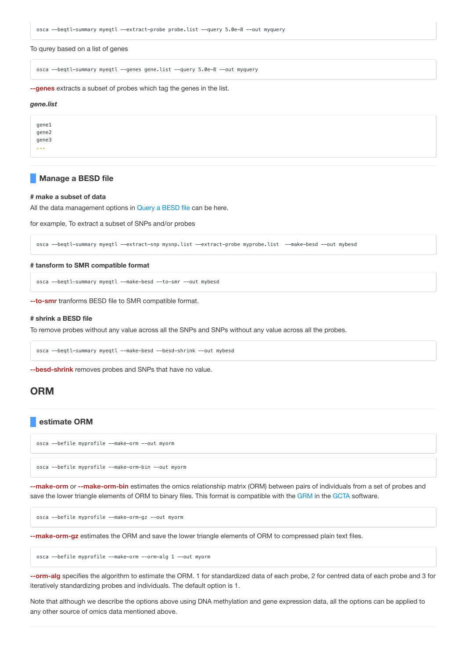osca --beqtl-summary myeqtl --extract-probe probe.list --query 5.0e-8 --out myquery

To qurey based on a list of genes

osca --beqtl-summary myeqtl --genes gene.list --query 5.0e-8 --out myquery

**--genes** extracts a subset of probes which tag the genes in the list.

### *gene.list*

gene1 gene2 gene3 ...

## **Manage a BESD file**

#### **# make a subset of data**

All the data management options in [Query a](file:///Users/futao.zhang/Desktop/20171212/osc_doc/build/index.html#QueryaBESDfile) BESD file can be here.

for example, To extract a subset of SNPs and/or probes

osca --beqtl-summary myeqtl --extract-snp mysnp.list --extract-probe myprobe.list --make-besd --out mybesd

## **# tansform to SMR compatible format**

osca --beqtl-summary myeqtl --make-besd --to-smr --out mybesd

**--to-smr** tranforms BESD file to SMR compatible format.

## **# shrink a BESD file**

To remove probes without any value across all the SNPs and SNPs without any value across all the probes.

osca --beqtl-summary myeqtl --make-besd --besd-shrink --out mybesd

**--besd-shrink** removes probes and SNPs that have no value.

# **ORM**

# **estimate ORM**

osca --befile myprofile --make-orm --out myorm

osca --befile myprofile --make-orm-bin --out myorm

**--make-orm** or **--make-orm-bin** estimates the omics relationship matrix (ORM) between pairs of individuals from a set of probes and save the lower triangle elements of ORM to binary files. This format is compatible with the [GRM](http://cnsgenomics.com/software/gcta/#MakingaGRM) in the [GCTA](http://cnsgenomics.com/software/gcta/) software.

osca --befile myprofile --make-orm-gz --out myorm

**--make-orm-gz** estimates the ORM and save the lower triangle elements of ORM to compressed plain text files.

osca --befile myprofile --make-orm --orm-alg 1 --out myorm

**--orm-alg** specifies the algorithm to estimate the ORM. 1 for standardized data of each probe, 2 for centred data of each probe and 3 for iteratively standardizing probes and individuals. The default option is 1.

Note that although we describe the options above using DNA methylation and gene expression data, all the options can be applied to any other source of omics data mentioned above.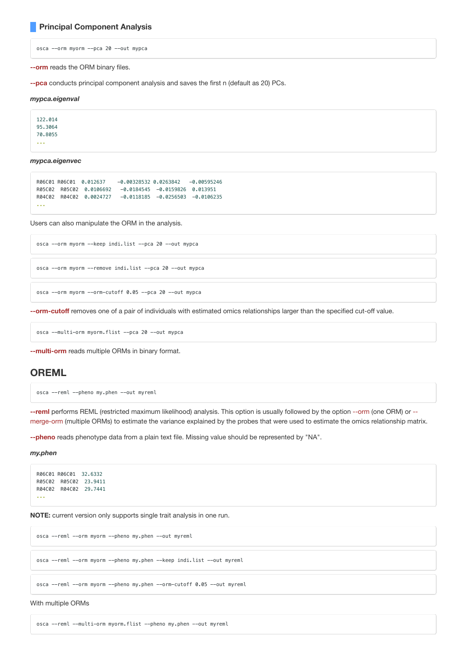# **Principal Component Analysis**

osca --orm myorm --pca 20 --out mypca

**--orm** reads the ORM binary files.

**--pca** conducts principal component analysis and saves the first n (default as 20) PCs.

### *mypca.eigenval*

122.014 95.3064 70.8055 ...

*mypca.eigenvec*

```
R06C01 R06C01 0.012637 -0.00328532 0.0263842 -0.00595246
R05C02 R05C02 0.0106692 -0.0184545 -0.0159826 0.013951
R04C02 R04C02 0.0024727 -0.0118185 -0.0256503 -0.0106235
...
```
Users can also manipulate the ORM in the analysis.

osca --orm myorm --keep indi.list --pca 20 --out mypca

```
osca --orm myorm --remove indi.list --pca 20 --out mypca
```

```
osca --orm myorm --orm-cutoff 0.05 --pca 20 --out mypca
```
**--orm-cutoff** removes one of a pair of individuals with estimated omics relationships larger than the specified cut-off value.

osca --multi-orm myorm.flist --pca 20 --out mypca

**--multi-orm** reads multiple ORMs in binary format.

# **OREML**

```
osca --reml --pheno my.phen --out myreml
```
**--reml** performs REML (restricted maximum likelihood) analysis. This option is usually followed by the option --orm (one ORM) or - merge-orm (multiple ORMs) to estimate the variance explained by the probes that were used to estimate the omics relationship matrix.

**--pheno** reads phenotype data from a plain text file. Missing value should be represented by "NA".

## *my.phen*

```
R06C01 R06C01 32.6332
R05C02 R05C02 23.9411
R04C02 R04C02 29.7441
...
```
**NOTE:** current version only supports single trait analysis in one run.

osca --reml --orm myorm --pheno my.phen --out myreml

osca --reml --orm myorm --pheno my.phen --keep indi.list --out myreml

osca --reml --orm myorm --pheno my.phen --orm-cutoff 0.05 --out myreml

With multiple ORMs

osca --reml --multi-orm myorm.flist --pheno my.phen --out myreml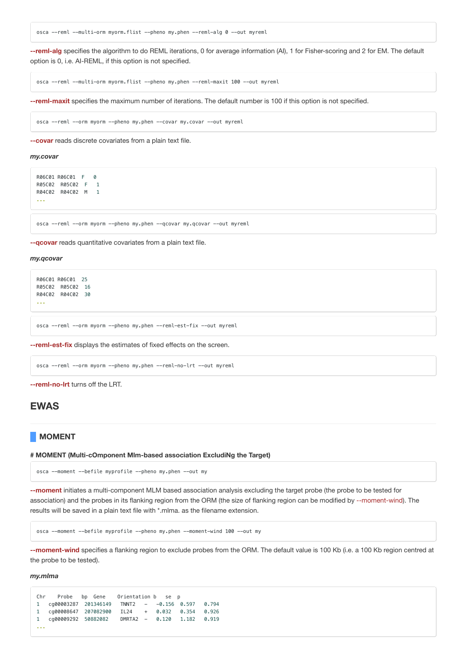osca --reml --multi-orm myorm.flist --pheno my.phen --reml-alg 0 --out myreml

**--reml-alg** specifies the algorithm to do REML iterations, 0 for average information (AI), 1 for Fisher-scoring and 2 for EM. The default option is 0, i.e. AI-REML, if this option is not specified.

osca --reml --multi-orm myorm.flist --pheno my.phen --reml-maxit 100 --out myreml

**--reml-maxit** specifies the maximum number of iterations. The default number is 100 if this option is not specified.

osca --reml --orm myorm --pheno my.phen --covar my.covar --out myreml

**--covar** reads discrete covariates from a plain text file.

#### *my.covar*

```
R06C01 R06C01 F 0
R05C02 R05C02 F 1
R04C02 R04C02 M 1
...
```
osca --reml --orm myorm --pheno my.phen --qcovar my.qcovar --out myreml

**--qcovar** reads quantitative covariates from a plain text file.

### *my.qcovar*

R06C01 R06C01 25 R05C02 R05C02 16 R04C02 R04C02 30 ...

osca --reml --orm myorm --pheno my.phen --reml-est-fix --out myreml

**--reml-est-fix** displays the estimates of fixed effects on the screen.

osca --reml --orm myorm --pheno my.phen --reml-no-lrt --out myreml

**--reml-no-lrt** turns off the LRT.

# **EWAS**

# **MOMENT**

## **# MOMENT (Multi-cOmponent Mlm-based association ExcludiNg the Target)**

osca --moment --befile myprofile --pheno my.phen --out my

**--moment** initiates a multi-component MLM based association analysis excluding the target probe (the probe to be tested for association) and the probes in its flanking region from the ORM (the size of flanking region can be modified by --moment-wind). The results will be saved in a plain text file with \*.mlma. as the filename extension.

osca --moment --befile myprofile --pheno my.phen --moment-wind 100 --out my

**--moment-wind** specifies a flanking region to exclude probes from the ORM. The default value is 100 Kb (i.e. a 100 Kb region centred at the probe to be tested).

#### *my.mlma*

```
Chr Probe bp Gene Orientation b se p
1 cg00003287 201346149 TNNT2 - -0.156 0.597 0.794
1 cg00008647 207082900 IL24 + 0.032 0.354 0.926
1 cg00009292 50882082 DMRTA2 - 0.120 1.182 0.919
...
```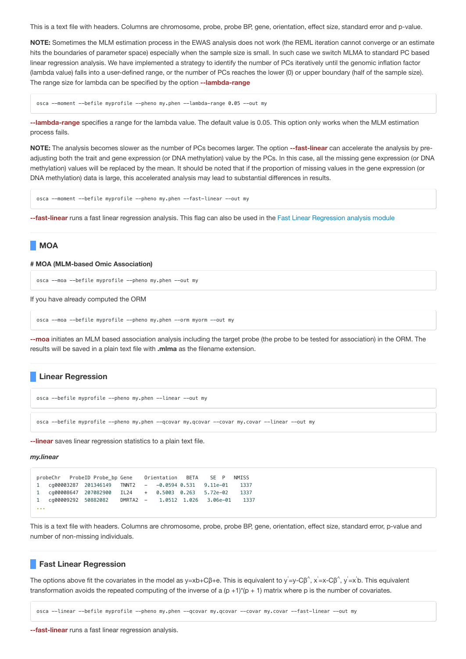This is a text file with headers. Columns are chromosome, probe, probe BP, gene, orientation, effect size, standard error and p-value.

**NOTE:** Sometimes the MLM estimation process in the EWAS analysis does not work (the REML iteration cannot converge or an estimate hits the boundaries of parameter space) especially when the sample size is small. In such case we switch MLMA to standard PC based linear regression analysis. We have implemented a strategy to identify the number of PCs iteratively until the genomic inflation factor (lambda value) falls into a user-defined range, or the number of PCs reaches the lower (0) or upper boundary (half of the sample size). The range size for lambda can be specified by the option **--lambda-range**

osca --moment --befile myprofile --pheno my.phen --lambda-range 0.05 --out my

**--lambda-range** specifies a range for the lambda value. The default value is 0.05. This option only works when the MLM estimation process fails.

**NOTE:** The analysis becomes slower as the number of PCs becomes larger. The option **--fast-linear** can accelerate the analysis by preadjusting both the trait and gene expression (or DNA methylation) value by the PCs. In this case, all the missing gene expression (or DNA methylation) values will be replaced by the mean. It should be noted that if the proportion of missing values in the gene expression (or DNA methylation) data is large, this accelerated analysis may lead to substantial differences in results.

osca --moment --befile myprofile --pheno my.phen --fast-linear --out my

**--fast-linear** runs a fast linear regression analysis. This flag can also be used in the Fast Linear Regression analysis module

# **MOA**

### **# MOA (MLM-based Omic Association)**

osca --moa --befile myprofile --pheno my.phen --out my

If you have already computed the ORM

osca --moa --befile myprofile --pheno my.phen --orm myorm --out my

**--moa** initiates an MLM based association analysis including the target probe (the probe to be tested for association) in the ORM. The results will be saved in a plain text file with **.mlma** as the filename extension.

# **Linear Regression**

```
osca --befile myprofile --pheno my.phen --linear --out my
```
osca --befile myprofile --pheno my.phen --qcovar my.qcovar --covar my.covar --linear --out my

**--linear** saves linear regression statistics to a plain text file.

## *my.linear*

```
probeChr ProbeID Probe_bp Gene Orientation BETA SE P NMISS
1 cg00003287 201346149 TNNT2 - -0.0594 0.531 9.11e-01 1337
1 cg00008647 207082900 IL24 + 0.5003 0.263 5.72e-02 1337
1 cg00009292 50882082 DMRTA2 - 1.0512 1.026 3.06e-01 1337
...
```
This is a text file with headers. Columns are chromosome, probe, probe BP, gene, orientation, effect size, standard error, p-value and number of non-missing individuals.

## **Fast Linear Regression**

The options above fit the covariates in the model as y=xb+Cβ+e. This is equivalent to y =y-Cβ<sup>^</sup>, x =x-Cβ<sup>^</sup>, y =x b. This equivalent transformation avoids the repeated computing of the inverse of a  $(p + 1)$ <sup>\*</sup>( $p + 1$ ) matrix where p is the number of covariates.

osca --linear --befile myprofile --pheno my.phen --qcovar my.qcovar --covar my.covar --fast-linear --out my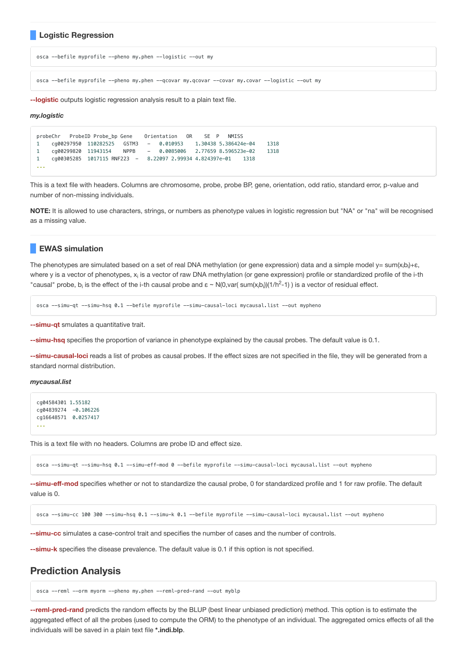## **Logistic Regression**

osca --befile myprofile --pheno my.phen --logistic --out my

osca --befile myprofile --pheno my.phen --qcovar my.qcovar --covar my.covar --logistic --out my

**--logistic** outputs logistic regression analysis result to a plain text file.

#### *my.logistic*

```
probeChr ProbeID Probe_bp Gene Orientation OR SE P NMISS
1 cg00297950 110282525 GSTM3 - 0.010953 1.30438 5.386424e-04 1318
1 cg00299820 11943154 NPPB - 0.0085006 2.77659 8.596523e-02 1318
1 cg00305285 1017115 RNF223 - 8.22097 2.99934 4.824397e-01 1318
...
```
This is a text file with headers. Columns are chromosome, probe, probe BP, gene, orientation, odd ratio, standard error, p-value and number of non-missing individuals.

**NOTE:** It is allowed to use characters, strings, or numbers as phenotype values in logistic regression but "NA" or "na" will be recognised as a missing value.

## **EWAS simulation**

The phenotypes are simulated based on a set of real DNA methylation (or gene expression) data and a simple model y= sum $(x_ib_i)+\varepsilon$ , where y is a vector of phenotypes, x<sub>i</sub> is a vector of raw DNA methylation (or gene expression) profile or standardized profile of the i-th "causal" probe, b<sub>i</sub> is the effect of the i-th causal probe and  $\varepsilon \sim N(0, var(\text{sum}(x_i b_i))(1/h^2-1)$ ) is a vector of residual effect.

osca --simu-qt --simu-hsq 0.1 --befile myprofile --simu-causal-loci mycausal.list --out mypheno

**--simu-qt** smulates a quantitative trait.

**--simu-hsq** specifies the proportion of variance in phenotype explained by the causal probes. The default value is 0.1.

**--simu-causal-loci** reads a list of probes as causal probes. If the effect sizes are not specified in the file, they will be generated from a standard normal distribution.

*mycausal.list*

```
cg04584301 1.55182
cg04839274 -0.106226
cg16648571 0.0257417
...
```
This is a text file with no headers. Columns are probe ID and effect size.

osca --simu-qt --simu-hsq 0.1 --simu-eff-mod 0 --befile myprofile --simu-causal-loci mycausal.list --out mypheno

**--simu-eff-mod** specifies whether or not to standardize the causal probe, 0 for standardized profile and 1 for raw profile. The default value is 0.

osca --simu-cc 100 300 --simu-hsq 0.1 --simu-k 0.1 --befile myprofile --simu-causal-loci mycausal.list --out mypheno

**--simu-cc** simulates a case-control trait and specifies the number of cases and the number of controls.

**--simu-k** specifies the disease prevalence. The default value is 0.1 if this option is not specified.

# **Prediction Analysis**

osca --reml --orm myorm --pheno my.phen --reml-pred-rand --out myblp

**--reml-pred-rand** predicts the random effects by the BLUP (best linear unbiased prediction) method. This option is to estimate the aggregated effect of all the probes (used to compute the ORM) to the phenotype of an individual. The aggregated omics effects of all the individuals will be saved in a plain text file **\*.indi.blp**.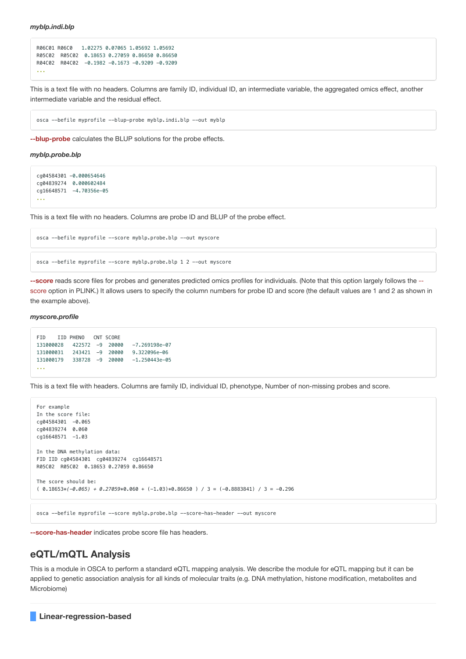```
R06C01 R06C0 1.02275 0.07065 1.05692 1.05692
R05C02 R05C02 0.18653 0.27059 0.86650 0.86650
R04C02 R04C02 -0.1982 -0.1673 -0.9209 -0.9209
...
```
This is a text file with no headers. Columns are family ID, individual ID, an intermediate variable, the aggregated omics effect, another intermediate variable and the residual effect.

osca --befile myprofile --blup-probe myblp.indi.blp --out myblp

**--blup-probe** calculates the BLUP solutions for the probe effects.

*myblp.probe.blp*

```
cg04584301 -0.000654646
cg04839274 0.000602484
cg16648571 -4.70356e-05
...
```
This is a text file with no headers. Columns are probe ID and BLUP of the probe effect.

osca --befile myprofile --score myblp.probe.blp --out myscore

osca --befile myprofile --score myblp.probe.blp 1 2 --out myscore

**--score** reads score files for probes and generates predicted omics profiles for individuals. (Note that this option largely follows the - score option in PLINK.) It allows users to specify the column numbers for probe ID and score (the default values are 1 and 2 as shown in the example above).

## *myscore.profile*

```
FID IID PHENO CNT SCORE
131000028 422572 -9 20000 -7.269198e-07
131000031 243421 -9 20000 9.322096e-06
131000179 338728 -9 20000 -1.250443e-05
...
```
This is a text file with headers. Columns are family ID, individual ID, phenotype, Number of non-missing probes and score.

```
For example
In the score file:
cg04584301 -0.065
cg04839274 0.060
cq16648571 -1.03In the DNA methylation data:
FID IID cg04584301 cg04839274 cg16648571
R05C02 R05C02 0.18653 0.27059 0.86650
The score should be:
( 0.18653*(-0.065) + 0.27059*0.060 + (-1.03)*0.86650 ) / 3 = (-0.8883841) / 3 = -0.296
```
osca --befile myprofile --score myblp.probe.blp --score-has-header --out myscore

**--score-has-header** indicates probe score file has headers.

# **eQTL/mQTL Analysis**

This is a module in OSCA to perform a standard eQTL mapping analysis. We describe the module for eQTL mapping but it can be applied to genetic association analysis for all kinds of molecular traits (e.g. DNA methylation, histone modification, metabolites and Microbiome)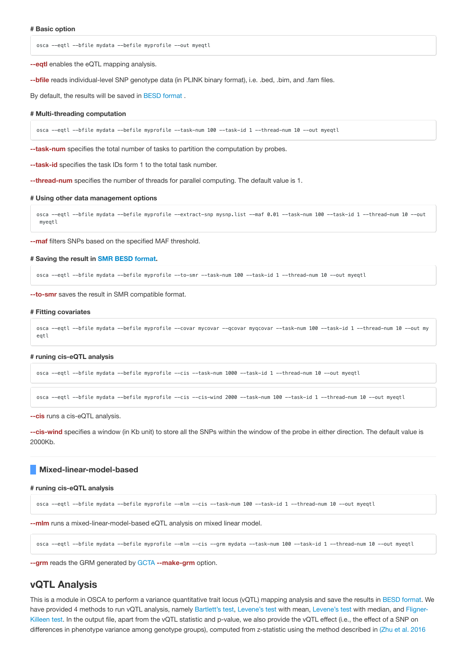osca --eqtl --bfile mydata --befile myprofile --out myeqtl

**--eqtl** enables the eQTL mapping analysis.

**--bfile** reads individual-level SNP genotype data (in PLINK binary format), i.e. .bed, .bim, and .fam files.

By default, the results will be saved in BESD format .

## **# Multi-threading computation**

osca --eqtl --bfile mydata --befile myprofile --task-num 100 --task-id 1 --thread-num 10 --out myeqtl

**--task-num** specifies the total number of tasks to partition the computation by probes.

**--task-id** specifies the task IDs form 1 to the total task number.

**--thread-num** specifies the number of threads for parallel computing. The default value is 1.

## **# Using other data management options**

osca --eqtl --bfile mydata --befile myprofile --extract-snp mysnp.list --maf 0.01 --task-num 100 --task-id 1 --thread-num 10 --out myeqtl

**--maf** filters SNPs based on the specified MAF threshold.

### **# Saving the result in SMR BESD [format](http://cnsgenomics.com/software/smr/#BESDformat).**

osca --eqtl --bfile mydata --befile myprofile --to-smr --task-num 100 --task-id 1 --thread-num 10 --out myeqtl

**--to-smr** saves the result in SMR compatible format.

#### **# Fitting covariates**

```
osca --eqtl --bfile mydata --befile myprofile --covar mycovar --qcovar myqcovar --task-num 100 --task-id 1 --thread-num 10 --out my
eqtl
```
#### **# runing cis-eQTL analysis**

osca --eqtl --bfile mydata --befile myprofile --cis --task-num 1000 --task-id 1 --thread-num 10 --out myeqtl

osca --eqtl --bfile mydata --befile myprofile --cis --cis-wind 2000 --task-num 100 --task-id 1 --thread-num 10 --out myeqtl

**--cis** runs a cis-eQTL analysis.

**--cis-wind** specifies a window (in Kb unit) to store all the SNPs within the window of the probe in either direction. The default value is 2000Kb.

### **Mixed-linear-model-based**

### **# runing cis-eQTL analysis**

osca --eqtl --bfile mydata --befile myprofile --mlm --cis --task-num 100 --task-id 1 --thread-num 10 --out myeqtl

**--mlm** runs a mixed-linear-model-based eQTL analysis on mixed linear model.

```
osca --eqtl --bfile mydata --befile myprofile --mlm --cis --grm mydata --task-num 100 --task-id 1 --thread-num 10 --out myeqtl
```
**--grm** reads the GRM generated by [GCTA](http://cnsgenomics.com/software/gcta) **--make-grm** option.

# **vQTL Analysis**

This is a module in OSCA to perform a variance quantitative trait locus (vQTL) mapping analysis and save the results in BESD format. We have provided 4 methods to run vQTL analysis, [namely Bartlett's test,](http://www.cookbook-r.com/Statistical_analysis/Homogeneity_of_variance/#fligner-killeen-test) [Levene's](https://en.wikipedia.org/wiki/Levene%27s_test) test with mean, [Levene's](https://en.wikipedia.org/wiki/Levene%27s_test) test with median, and Fligner-Killeen test. In the output file, apart from the vQTL statistic and p-value, we also provide the vQTL effect (i.e., the effect of a SNP on [differences in](http://www.nature.com/ng/journal/vaop/ncurrent/full/ng.3538.html) phenotype variance among genotype groups), computed from z-statistic using the method described in (Zhu et al. 2016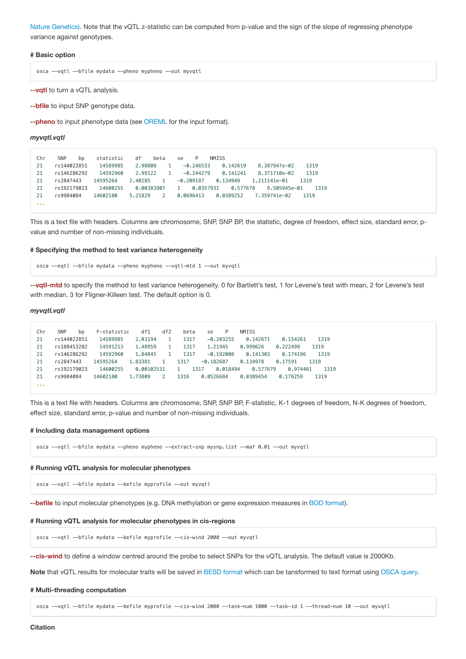Nature Genetics). Note that the vQTL z-statistic can be computed from p-value and the sign of the slope of regressing [phenotype](http://www.nature.com/ng/journal/vaop/ncurrent/full/ng.3538.html) variance against genotypes.

## **# Basic option**

osca --vqtl --bfile mydata --pheno mypheno --out myvqtl

**--vqtl** to turn a vQTL analysis.

**--bfile** to input SNP genotype data.

**--pheno** to input phenotype data (see OREML for the input format).

#### *myvqtl.vqtl*

| Chr | <b>SNP</b><br>bn | statistic | df<br>beta               | <b>NMTSS</b><br>P<br>se                             |      |
|-----|------------------|-----------|--------------------------|-----------------------------------------------------|------|
| 21  | rs144022851      | 14589985  | 2.98808<br>$\mathbf{1}$  | 0.142619<br>8.387947e-02<br>$-0.246533$             | 1319 |
| 21  | rs146286292      | 14592960  | 2.99122<br>$\mathbf{1}$  | 0.141241<br>8.371710e-02<br>$-0.244279$             | 1319 |
| 21  | rs2847443        | 14595264  | $\mathbf{1}$<br>2.40285  | 0.134949<br>$-0.209187$<br>1.211141e-01             | 1319 |
| 21  | rs192179023      | 14600255  | 0.00383907               | 0.0357931   0.577678   9.505945e-01<br>$\mathbf{1}$ | 1319 |
| 21  | rs9984084        | 14602180  | $\mathcal{P}$<br>5.21829 | $0.0696413$ $0.0389252$ $7.359741e-02$              | 1319 |
| .   |                  |           |                          |                                                     |      |

This is a text file with headers. Columns are chromosome, SNP, SNP BP, the statistic, degree of freedom, effect size, standard error, pvalue and number of non-missing individuals.

### **# Specifying the method to test variance heterogeneity**

osca --eqtl --bfile mydata --pheno mypheno --vqtl-mtd 1 --out myvqtl

**--vqtl-mtd** to specify the method to test variance heterogeneity. 0 for Bartlett's test, 1 for Levene's test with mean, 2 for Levene's test with median, 3 for Fligner-Killeen test. The default option is 0.

### *myvqtl.vqtl*

| Chr | <b>SNP</b><br>bn | F-statistic | df1        | df2          | beta | P<br>se          | <b>NMISS</b> |          |      |
|-----|------------------|-------------|------------|--------------|------|------------------|--------------|----------|------|
| 21  | rs144022851      | 14589985    | 2.03194    |              | 1317 | $-0.203255$      | 0.142671     | 0.154261 | 1319 |
| 21  | rs188453282      | 14591213    | 1.48959    | $\mathbf{1}$ | 1317 | 1.21945          | 0.999626     | 0.222499 | 1319 |
| 21  | rs146286292      | 14592960    | 1.84845    |              | 1317 | $-0.192008$      | 0.141303     | 0.174196 | 1319 |
| 21  | rs2847443        | 14595264    | 1.83381    |              | 1317 | $-0.182687$      | 0.134978     | 0.17591  | 1319 |
| 21  | rs192179023      | 14600255    | 0.00102531 |              | 1.   | 0.018494<br>1317 | 0.577679     | 0.974461 | 1319 |
| 21  | rs9984084        | 14602180    | 1,73809    |              | 1316 | 0.0526684        | 0.0389454    | 0.176259 | 1319 |
| .   |                  |             |            |              |      |                  |              |          |      |

This is a text file with headers. Columns are chromosome, SNP, SNP BP, F-statistic, K-1 degrees of freedom, N-K degrees of freedom, effect size, standard error, p-value and number of non-missing individuals.

#### **# Including data management options**

osca --vqtl --bfile mydata --pheno mypheno --extract-snp mysnp.list --maf 0.01 --out myvqtl

## **# Running vQTL analysis for molecular phenotypes**

osca --vqtl --bfile mydata --befile myprofile --out myvqtl

**--befile** to input molecular phenotypes (e.g. DNA methylation or gene expression measures in BOD format).

### **# Running vQTL analysis for molecular phenotypes in cis-regions**

osca --vqtl --bfile mydata --befile myprofile --cis-wind 2000 --out myvqtl

**--cis-wind** to define a window centred around the probe to select SNPs for the vQTL analysis. The default value is 2000Kb.

**Note** that vQTL results for molecular traits will be saved in BESD format which can be tansformed to text format using OSCA query.

### **# Multi-threading computation**

osca --vqtl --bfile mydata --befile myprofile --cis-wind 2000 --task-num 1000 --task-id 1 --thread-num 10 --out myvqtl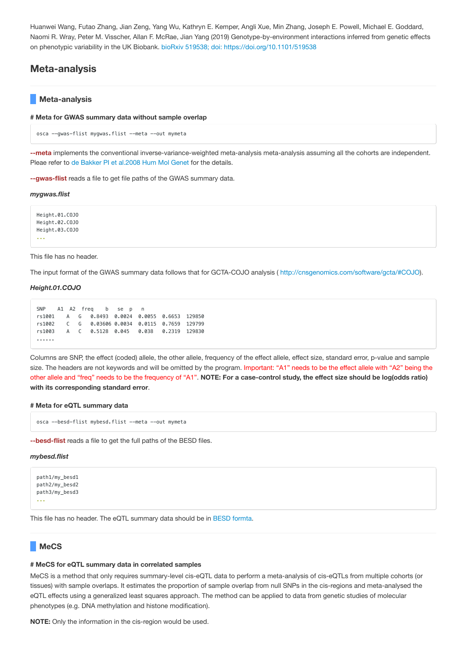Huanwei Wang, Futao Zhang, Jian Zeng, Yang Wu, Kathryn E. Kemper, Angli Xue, Min Zhang, Joseph E. Powell, Michael E. Goddard, Naomi R. Wray, Peter M. Visscher, Allan F. McRae, Jian Yang (2019) Genotype-by-environment interactions inferred from genetic effects on phenotypic variability in the UK Biobank. bioRxiv 519538; doi: [https://doi.org/10.1101/519538](https://www.biorxiv.org/content/early/2019/01/14/519538)

# **Meta-analysis**

## **Meta-analysis**

**# Meta for GWAS summary data without sample overlap**

```
osca --gwas-flist mygwas.flist --meta --out mymeta
```
**--meta** implements the conventional inverse-variance-weighted meta-analysis meta-analysis assuming all the cohorts are independent. Pleae refer to de Bakker PI et [al.2008](https://academic.oup.com/hmg/article/17/R2/R122/2527210) Hum Mol Genet for the details.

**--gwas-flist** reads a file to get file paths of the GWAS summary data.

*mygwas.flist*

Height.01.COJO Height.02.COJO Height.03.COJO ...

This file has no header.

The input format of the GWAS summary data follows that for GCTA-COJO analysis ( <http://cnsgenomics.com/software/gcta/#COJO>).

## *Height.01.COJO*

```
SNP A1 A2 freq b se p n
rs1001 A G 0.8493 0.0024 0.0055 0.6653 129850
rs1002 C G 0.03606 0.0034 0.0115 0.7659 129799
rs1003 A C 0.5128 0.045 0.038 0.2319 129830
......
```
Columns are SNP, the effect (coded) allele, the other allele, frequency of the effect allele, effect size, standard error, p-value and sample size. The headers are not keywords and will be omitted by the program. Important: "A1" needs to be the effect allele with "A2" being the other allele and "freq" needs to be the frequency of "A1". **NOTE: For a case-control study, the effect size should be log(odds ratio) with its corresponding standard error**.

#### **# Meta for eQTL summary data**

```
osca --besd-flist mybesd.flist --meta --out mymeta
```
**--besd-flist** reads a file to get the full paths of the BESD files.

## *mybesd.flist*

```
path1/my_besd1
path2/my_besd2
path3/my_besd3
...
```
This file has no header. The eQTL summary data should be in BESD formta.

# **MeCS**

## **# MeCS for eQTL summary data in correlated samples**

MeCS is a method that only requires summary-level cis-eQTL data to perform a meta-analysis of cis-eQTLs from multiple cohorts (or tissues) with sample overlaps. It estimates the proportion of sample overlap from null SNPs in the cis-regions and meta-analysed the eQTL effects using a generalized least squares approach. The method can be applied to data from genetic studies of molecular phenotypes (e.g. DNA methylation and histone modification).

**NOTE:** Only the information in the cis-region would be used.